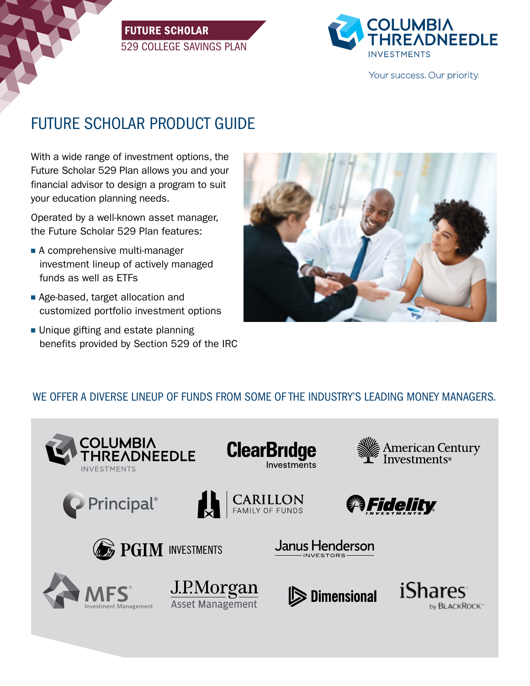# FUTURE SCHOLAR 529 COLLEGE SAVINGS PLAN



Your success. Our priority.

# FUTURE SCHOLAR PRODUCT GUIDE

With a wide range of investment options, the Future Scholar 529 Plan allows you and your financial advisor to design a program to suit your education planning needs.

Operated by a well-known asset manager, the Future Scholar 529 Plan features:

- $\blacksquare$  A comprehensive multi-manager investment lineup of actively managed funds as well as ETFs
- Age-based, target allocation and customized portfolio investment options
- $\blacksquare$  Unique gifting and estate planning benefits provided by Section 529 of the IRC



# WE OFFER A DIVERSE LINEUP OF FUNDS FROM SOME OF THE INDUSTRY'S LEADING MONEY MANAGERS.

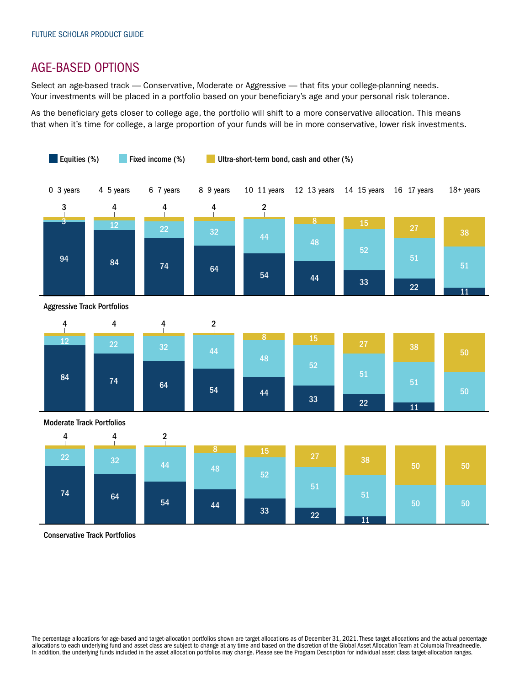# AGE-BASED OPTIONS

Select an age-based track - Conservative, Moderate or Aggressive - that fits your college-planning needs. Your investments will be placed in a portfolio based on your beneficiary's age and your personal risk tolerance.

As the beneficiary gets closer to college age, the portfolio will shift to a more conservative allocation. This means that when it's time for college, a large proportion of your funds will be in more conservative, lower risk investments.



Conservative Track Portfolios

The percentage allocations for age-based and target-allocation portfolios shown are target allocations as of December 31, 2021. These target allocations and the actual percentage allocations to each underlying fund and asset class are subject to change at any time and based on the discretion of the Global Asset Allocation Team at Columbia Threadneedle. In addition, the underlying funds included in the asset allocation portfolios may change. Please see the Program Description for individual asset class target-allocation ranges.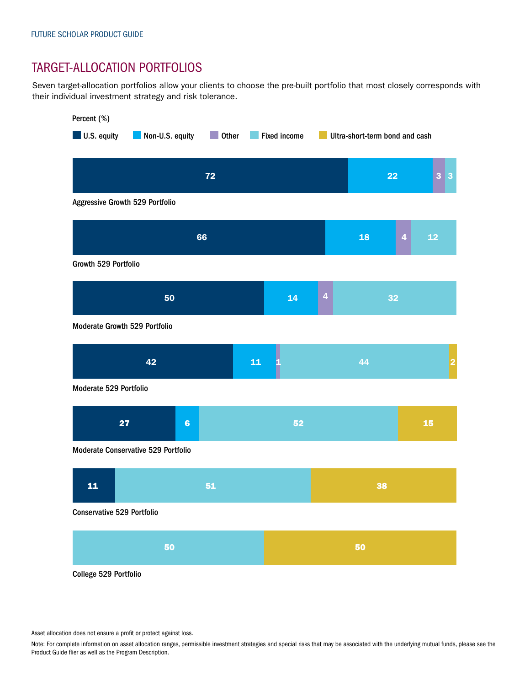# TARGET-ALLOCATION PORTFOLIOS

Seven target-allocation portfolios allow your clients to choose the pre-built portfolio that most closely corresponds with their individual investment strategy and risk tolerance.



Asset allocation does not ensure a profit or protect against loss.

Note: For complete information on asset allocation ranges, permissible investment strategies and special risks that may be associated with the underlying mutual funds, please see the Product Guide flier as well as the Program Description.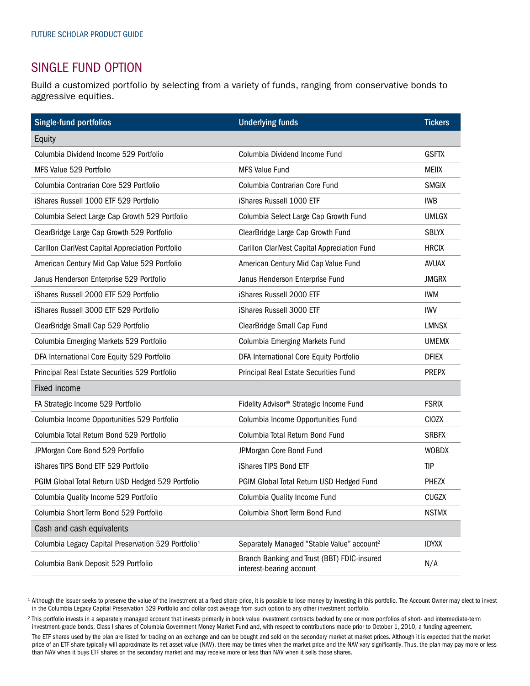# SINGLE FUND OPTION

Build a customized portfolio by selecting from a variety of funds, ranging from conservative bonds to aggressive equities.

| Single-fund portfolios                                          | <b>Underlying funds</b>                                                 | <b>Tickers</b> |
|-----------------------------------------------------------------|-------------------------------------------------------------------------|----------------|
| Equity                                                          |                                                                         |                |
| Columbia Dividend Income 529 Portfolio                          | Columbia Dividend Income Fund                                           | <b>GSFTX</b>   |
| MFS Value 529 Portfolio                                         | <b>MFS Value Fund</b>                                                   | <b>MEIIX</b>   |
| Columbia Contrarian Core 529 Portfolio                          | Columbia Contrarian Core Fund                                           | <b>SMGIX</b>   |
| iShares Russell 1000 ETF 529 Portfolio                          | iShares Russell 1000 ETF                                                | <b>IWB</b>     |
| Columbia Select Large Cap Growth 529 Portfolio                  | Columbia Select Large Cap Growth Fund                                   | <b>UMLGX</b>   |
| ClearBridge Large Cap Growth 529 Portfolio                      | ClearBridge Large Cap Growth Fund                                       | <b>SBLYX</b>   |
| Carillon ClariVest Capital Appreciation Portfolio               | Carillon ClariVest Capital Appreciation Fund                            | <b>HRCIX</b>   |
| American Century Mid Cap Value 529 Portfolio                    | American Century Mid Cap Value Fund                                     | <b>AVUAX</b>   |
| Janus Henderson Enterprise 529 Portfolio                        | Janus Henderson Enterprise Fund                                         | <b>JMGRX</b>   |
| iShares Russell 2000 ETF 529 Portfolio                          | iShares Russell 2000 ETF                                                | <b>IWM</b>     |
| iShares Russell 3000 ETF 529 Portfolio                          | iShares Russell 3000 ETF                                                | <b>IWV</b>     |
| ClearBridge Small Cap 529 Portfolio                             | ClearBridge Small Cap Fund                                              | <b>LMNSX</b>   |
| Columbia Emerging Markets 529 Portfolio                         | Columbia Emerging Markets Fund                                          | <b>UMEMX</b>   |
| DFA International Core Equity 529 Portfolio                     | DFA International Core Equity Portfolio                                 | <b>DFIEX</b>   |
| Principal Real Estate Securities 529 Portfolio                  | Principal Real Estate Securities Fund                                   | <b>PREPX</b>   |
| Fixed income                                                    |                                                                         |                |
| FA Strategic Income 529 Portfolio                               | Fidelity Advisor® Strategic Income Fund                                 | <b>FSRIX</b>   |
| Columbia Income Opportunities 529 Portfolio                     | Columbia Income Opportunities Fund                                      | <b>CIOZX</b>   |
| Columbia Total Return Bond 529 Portfolio                        | Columbia Total Return Bond Fund                                         | <b>SRBFX</b>   |
| JPMorgan Core Bond 529 Portfolio                                | JPMorgan Core Bond Fund                                                 | <b>WOBDX</b>   |
| iShares TIPS Bond ETF 529 Portfolio                             | iShares TIPS Bond ETF                                                   | <b>TIP</b>     |
| PGIM Global Total Return USD Hedged 529 Portfolio               | PGIM Global Total Return USD Hedged Fund                                | <b>PHEZX</b>   |
| Columbia Quality Income 529 Portfolio                           | Columbia Quality Income Fund                                            | <b>CUGZX</b>   |
| Columbia Short Term Bond 529 Portfolio                          | Columbia Short Term Bond Fund                                           | <b>NSTMX</b>   |
| Cash and cash equivalents                                       |                                                                         |                |
| Columbia Legacy Capital Preservation 529 Portfolio <sup>1</sup> | Separately Managed "Stable Value" account <sup>2</sup>                  | <b>IDYXX</b>   |
| Columbia Bank Deposit 529 Portfolio                             | Branch Banking and Trust (BBT) FDIC-insured<br>interest-bearing account | N/A            |

<sup>1</sup> Although the issuer seeks to preserve the value of the investment at a fixed share price, it is possible to lose money by investing in this portfolio. The Account Owner may elect to invest in the Columbia Legacy Capital Preservation 529 Portfolio and dollar cost average from such option to any other investment portfolio.

<sup>2</sup> This portfolio invests in a separately managed account that invests primarily in book value investment contracts backed by one or more portfolios of short- and intermediate-term investment-grade bonds, Class I shares of Columbia Government Money Market Fund and, with respect to contributions made prior to October 1, 2010, a funding agreement.

The ETF shares used by the plan are listed for trading on an exchange and can be bought and sold on the secondary market at market prices. Although it is expected that the market price of an ETF share typically will approximate its net asset value (NAV), there may be times when the market price and the NAV vary significantly. Thus, the plan may pay more or less than NAV when it buys ETF shares on the secondary market and may receive more or less than NAV when it sells those shares.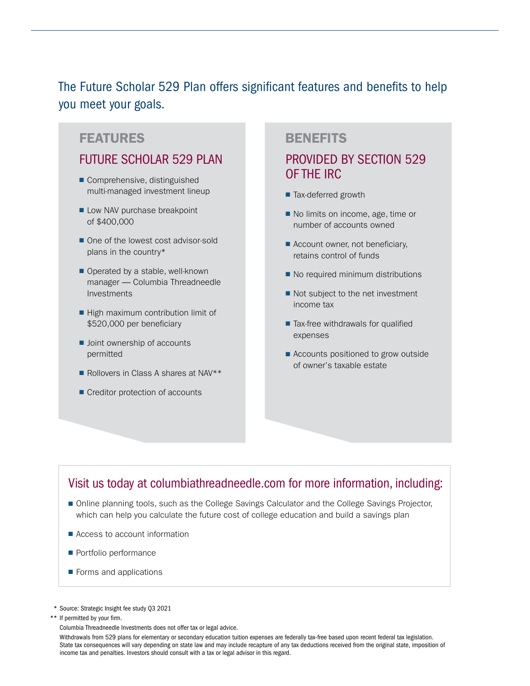The Future Scholar 529 Plan offers significant features and benefits to help you meet your goals.

### FEATURES BENEFITS

# FUTURE SCHOLAR 529 PLAN

- Comprehensive, distinguished multi-managed investment lineup
- Low NAV purchase breakpoint of \$400,000
- One of the lowest cost advisor-sold plans in the country\*
- Operated by a stable, well-known manager — Columbia Threadneedle Investments
- High maximum contribution limit of \$520,000 per beneficiary
- Joint ownership of accounts permitted
- Rollovers in Class A shares at NAV<sup>\*\*</sup>
- Creditor protection of accounts

# PROVIDED BY SECTION 529 OF THE IRC

- Tax-deferred growth
- No limits on income, age, time or number of accounts owned
- Account owner, not beneficiary, retains control of funds
- No required minimum distributions
- Not subject to the net investment income tax
- Tax-free withdrawals for qualified expenses
- Accounts positioned to grow outside of owner's taxable estate

# Visit us today at columbiathreadneedle.com for more information, including:

- Online planning tools, such as the College Savings Calculator and the College Savings Projector, which can help you calculate the future cost of college education and build a savings plan
- Access to account information
- Portfolio performance
- Forms and applications
- \* Source: Strategic Insight fee study Q3 2021

\*\* If permitted by your firm.

Columbia Threadneedle Investments does not offer tax or legal advice.

 Withdrawals from 529 plans for elementary or secondary education tuition expenses are federally tax-free based upon recent federal tax legislation. State tax consequences will vary depending on state law and may include recapture of any tax deductions received from the original state, imposition of income tax and penalties. Investors should consult with a tax or legal advisor in this regard.